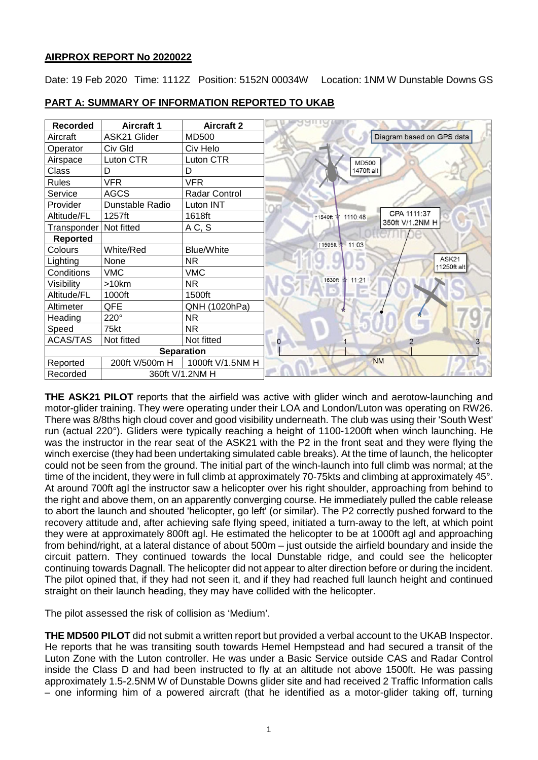## **AIRPROX REPORT No 2020022**

Date: 19 Feb 2020 Time: 1112Z Position: 5152N 00034W Location: 1NM W Dunstable Downs GS

| <b>Recorded</b>   | <b>Aircraft 1</b> | <b>Aircraft 2</b> |                                     |
|-------------------|-------------------|-------------------|-------------------------------------|
| Aircraft          | ASK21 Glider      | MD500             | Diagram based on GPS data           |
| Operator          | Civ Gld           | Civ Helo          |                                     |
| Airspace          | Luton CTR         | Luton CTR         | <b>MD500</b>                        |
| <b>Class</b>      | D                 | D                 | 1470ft alt                          |
| <b>Rules</b>      | <b>VFR</b>        | <b>VFR</b>        |                                     |
| Service           | <b>AGCS</b>       | Radar Control     |                                     |
| Provider          | Dunstable Radio   | Luton INT         |                                     |
| Altitude/FL       | 1257ft            | 1618ft            | CPA 1111:37<br>1110:48<br>11540ft 本 |
| Transponder       | Not fitted        | AC, S             | 350ft V/1.2NM H                     |
| <b>Reported</b>   |                   |                   | 11595ft 11:03                       |
| Colours           | White/Red         | <b>Blue/White</b> |                                     |
| Lighting          | None              | <b>NR</b>         | ASK <sub>21</sub><br>↑1250ft alt    |
| Conditions        | <b>VMC</b>        | <b>VMC</b>        |                                     |
| Visibility        | >10km             | <b>NR</b>         | 1630ft * 11:21                      |
| Altitude/FL       | 1000ft            | 1500ft            |                                     |
| Altimeter         | QFE               | QNH (1020hPa)     |                                     |
| Heading           | 220°              | <b>NR</b>         |                                     |
| Speed             | 75kt              | <b>NR</b>         |                                     |
| <b>ACAS/TAS</b>   | Not fitted        | Not fitted        | 0<br>2                              |
| <b>Separation</b> |                   |                   |                                     |
| Reported          | 200ft V/500m H    | 1000ft V/1.5NM H  | <b>NM</b>                           |
| Recorded          | 360ft V/1.2NM H   |                   |                                     |

## **PART A: SUMMARY OF INFORMATION REPORTED TO UKAB**

**THE ASK21 PILOT** reports that the airfield was active with glider winch and aerotow-launching and motor-glider training. They were operating under their LOA and London/Luton was operating on RW26. There was 8/8ths high cloud cover and good visibility underneath. The club was using their 'South West' run (actual 220°). Gliders were typically reaching a height of 1100-1200ft when winch launching. He was the instructor in the rear seat of the ASK21 with the P2 in the front seat and they were flying the winch exercise (they had been undertaking simulated cable breaks). At the time of launch, the helicopter could not be seen from the ground. The initial part of the winch-launch into full climb was normal; at the time of the incident, they were in full climb at approximately 70-75kts and climbing at approximately 45°. At around 700ft agl the instructor saw a helicopter over his right shoulder, approaching from behind to the right and above them, on an apparently converging course. He immediately pulled the cable release to abort the launch and shouted 'helicopter, go left' (or similar). The P2 correctly pushed forward to the recovery attitude and, after achieving safe flying speed, initiated a turn-away to the left, at which point they were at approximately 800ft agl. He estimated the helicopter to be at 1000ft agl and approaching from behind/right, at a lateral distance of about 500m – just outside the airfield boundary and inside the circuit pattern. They continued towards the local Dunstable ridge, and could see the helicopter continuing towards Dagnall. The helicopter did not appear to alter direction before or during the incident. The pilot opined that, if they had not seen it, and if they had reached full launch height and continued straight on their launch heading, they may have collided with the helicopter.

The pilot assessed the risk of collision as 'Medium'.

**THE MD500 PILOT** did not submit a written report but provided a verbal account to the UKAB Inspector. He reports that he was transiting south towards Hemel Hempstead and had secured a transit of the Luton Zone with the Luton controller. He was under a Basic Service outside CAS and Radar Control inside the Class D and had been instructed to fly at an altitude not above 1500ft. He was passing approximately 1.5-2.5NM W of Dunstable Downs glider site and had received 2 Traffic Information calls – one informing him of a powered aircraft (that he identified as a motor-glider taking off, turning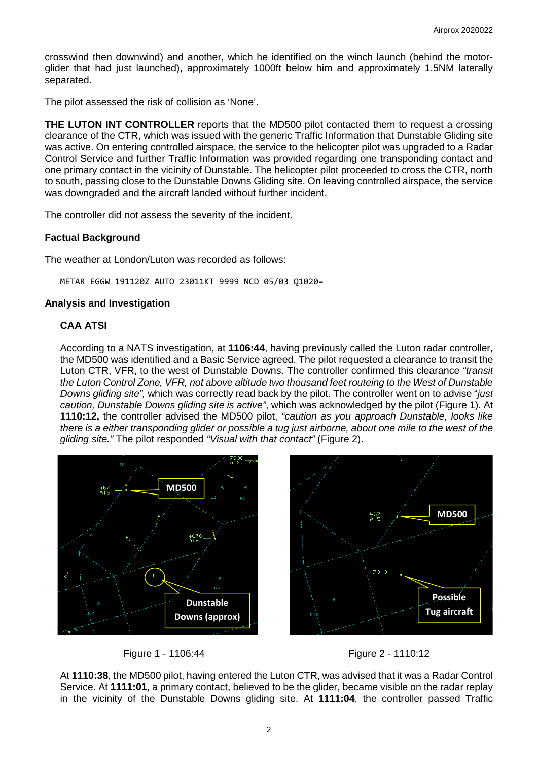crosswind then downwind) and another, which he identified on the winch launch (behind the motorglider that had just launched), approximately 1000ft below him and approximately 1.5NM laterally separated.

The pilot assessed the risk of collision as 'None'.

**THE LUTON INT CONTROLLER** reports that the MD500 pilot contacted them to request a crossing clearance of the CTR, which was issued with the generic Traffic Information that Dunstable Gliding site was active. On entering controlled airspace, the service to the helicopter pilot was upgraded to a Radar Control Service and further Traffic Information was provided regarding one transponding contact and one primary contact in the vicinity of Dunstable. The helicopter pilot proceeded to cross the CTR, north to south, passing close to the Dunstable Downs Gliding site. On leaving controlled airspace, the service was downgraded and the aircraft landed without further incident.

The controller did not assess the severity of the incident.

## **Factual Background**

The weather at London/Luton was recorded as follows:

METAR EGGW 191120Z AUTO 23011KT 9999 NCD 05/03 Q1020=

## **Analysis and Investigation**

## **CAA ATSI**

According to a NATS investigation, at **1106:44**, having previously called the Luton radar controller, the MD500 was identified and a Basic Service agreed. The pilot requested a clearance to transit the Luton CTR, VFR, to the west of Dunstable Downs. The controller confirmed this clearance *"transit the Luton Control Zone, VFR, not above altitude two thousand feet routeing to the West of Dunstable Downs gliding site",* which was correctly read back by the pilot. The controller went on to advise "*just caution, Dunstable Downs gliding site is active"*, which was acknowledged by the pilot (Figure 1). At **1110:12,** the controller advised the MD500 pilot, *"caution as you approach Dunstable, looks like there is a either transponding glider or possible a tug just airborne, about one mile to the west of the gliding site."* The pilot responded *"Visual with that contact"* (Figure 2).





At **1110:38**, the MD500 pilot, having entered the Luton CTR, was advised that it was a Radar Control Service. At **1111:01**, a primary contact, believed to be the glider, became visible on the radar replay in the vicinity of the Dunstable Downs gliding site. At **1111:04**, the controller passed Traffic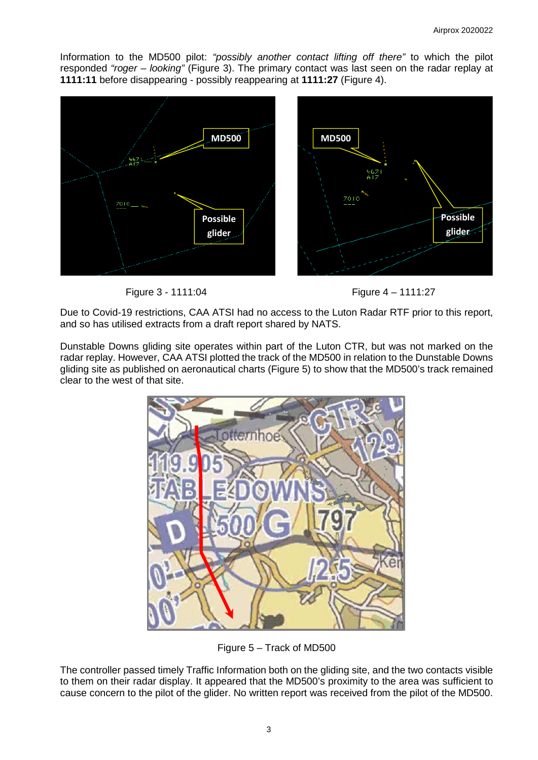Information to the MD500 pilot: *"possibly another contact lifting off there"* to which the pilot responded *"roger – looking"* (Figure 3). The primary contact was last seen on the radar replay at **1111:11** before disappearing - possibly reappearing at **1111:27** (Figure 4).





Due to Covid-19 restrictions, CAA ATSI had no access to the Luton Radar RTF prior to this report, and so has utilised extracts from a draft report shared by NATS.

Dunstable Downs gliding site operates within part of the Luton CTR, but was not marked on the radar replay. However, CAA ATSI plotted the track of the MD500 in relation to the Dunstable Downs gliding site as published on aeronautical charts (Figure 5) to show that the MD500's track remained clear to the west of that site.



Figure 5 – Track of MD500

The controller passed timely Traffic Information both on the gliding site, and the two contacts visible to them on their radar display. It appeared that the MD500's proximity to the area was sufficient to cause concern to the pilot of the glider. No written report was received from the pilot of the MD500.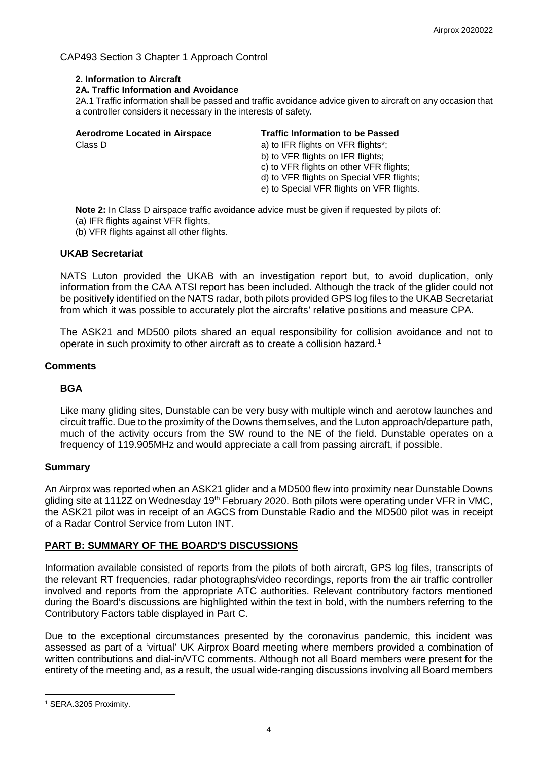## CAP493 Section 3 Chapter 1 Approach Control

### **2. Information to Aircraft**

#### **2A. Traffic Information and Avoidance**

2A.1 Traffic information shall be passed and traffic avoidance advice given to aircraft on any occasion that a controller considers it necessary in the interests of safety.

| <b>Aerodrome Located in Airspace</b> | <b>Traffic Information to be Passed</b>   |
|--------------------------------------|-------------------------------------------|
| Class D                              | a) to IFR flights on VFR flights*;        |
|                                      | b) to VFR flights on IFR flights;         |
|                                      | c) to VFR flights on other VFR flights;   |
|                                      | d) to VFR flights on Special VFR flights; |
|                                      | e) to Special VFR flights on VFR flights. |

**Note 2:** In Class D airspace traffic avoidance advice must be given if requested by pilots of:

- (a) IFR flights against VFR flights,
- (b) VFR flights against all other flights.

#### **UKAB Secretariat**

NATS Luton provided the UKAB with an investigation report but, to avoid duplication, only information from the CAA ATSI report has been included. Although the track of the glider could not be positively identified on the NATS radar, both pilots provided GPS log files to the UKAB Secretariat from which it was possible to accurately plot the aircrafts' relative positions and measure CPA.

The ASK21 and MD500 pilots shared an equal responsibility for collision avoidance and not to operate in such proximity to other aircraft as to create a collision hazard. [1](#page-3-0)

#### **Comments**

## **BGA**

Like many gliding sites, Dunstable can be very busy with multiple winch and aerotow launches and circuit traffic. Due to the proximity of the Downs themselves, and the Luton approach/departure path, much of the activity occurs from the SW round to the NE of the field. Dunstable operates on a frequency of 119.905MHz and would appreciate a call from passing aircraft, if possible.

#### **Summary**

An Airprox was reported when an ASK21 glider and a MD500 flew into proximity near Dunstable Downs gliding site at 1112Z on Wednesday 19<sup>th</sup> February 2020. Both pilots were operating under VFR in VMC, the ASK21 pilot was in receipt of an AGCS from Dunstable Radio and the MD500 pilot was in receipt of a Radar Control Service from Luton INT.

## **PART B: SUMMARY OF THE BOARD'S DISCUSSIONS**

Information available consisted of reports from the pilots of both aircraft, GPS log files, transcripts of the relevant RT frequencies, radar photographs/video recordings, reports from the air traffic controller involved and reports from the appropriate ATC authorities. Relevant contributory factors mentioned during the Board's discussions are highlighted within the text in bold, with the numbers referring to the Contributory Factors table displayed in Part C.

Due to the exceptional circumstances presented by the coronavirus pandemic, this incident was assessed as part of a 'virtual' UK Airprox Board meeting where members provided a combination of written contributions and dial-in/VTC comments. Although not all Board members were present for the entirety of the meeting and, as a result, the usual wide-ranging discussions involving all Board members

<span id="page-3-0"></span>l <sup>1</sup> SERA.3205 Proximity.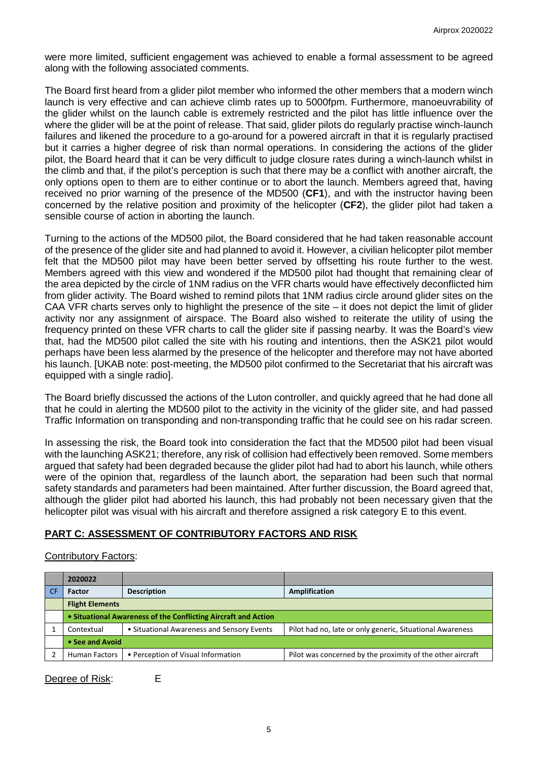were more limited, sufficient engagement was achieved to enable a formal assessment to be agreed along with the following associated comments.

The Board first heard from a glider pilot member who informed the other members that a modern winch launch is very effective and can achieve climb rates up to 5000fpm. Furthermore, manoeuvrability of the glider whilst on the launch cable is extremely restricted and the pilot has little influence over the where the glider will be at the point of release. That said, glider pilots do regularly practise winch-launch failures and likened the procedure to a go-around for a powered aircraft in that it is regularly practised but it carries a higher degree of risk than normal operations. In considering the actions of the glider pilot, the Board heard that it can be very difficult to judge closure rates during a winch-launch whilst in the climb and that, if the pilot's perception is such that there may be a conflict with another aircraft, the only options open to them are to either continue or to abort the launch. Members agreed that, having received no prior warning of the presence of the MD500 (**CF1**), and with the instructor having been concerned by the relative position and proximity of the helicopter (**CF2**), the glider pilot had taken a sensible course of action in aborting the launch.

Turning to the actions of the MD500 pilot, the Board considered that he had taken reasonable account of the presence of the glider site and had planned to avoid it. However, a civilian helicopter pilot member felt that the MD500 pilot may have been better served by offsetting his route further to the west. Members agreed with this view and wondered if the MD500 pilot had thought that remaining clear of the area depicted by the circle of 1NM radius on the VFR charts would have effectively deconflicted him from glider activity. The Board wished to remind pilots that 1NM radius circle around glider sites on the CAA VFR charts serves only to highlight the presence of the site – it does not depict the limit of glider activity nor any assignment of airspace. The Board also wished to reiterate the utility of using the frequency printed on these VFR charts to call the glider site if passing nearby. It was the Board's view that, had the MD500 pilot called the site with his routing and intentions, then the ASK21 pilot would perhaps have been less alarmed by the presence of the helicopter and therefore may not have aborted his launch. [UKAB note: post-meeting, the MD500 pilot confirmed to the Secretariat that his aircraft was equipped with a single radio].

The Board briefly discussed the actions of the Luton controller, and quickly agreed that he had done all that he could in alerting the MD500 pilot to the activity in the vicinity of the glider site, and had passed Traffic Information on transponding and non-transponding traffic that he could see on his radar screen.

In assessing the risk, the Board took into consideration the fact that the MD500 pilot had been visual with the launching ASK21; therefore, any risk of collision had effectively been removed. Some members argued that safety had been degraded because the glider pilot had had to abort his launch, while others were of the opinion that, regardless of the launch abort, the separation had been such that normal safety standards and parameters had been maintained. After further discussion, the Board agreed that, although the glider pilot had aborted his launch, this had probably not been necessary given that the helicopter pilot was visual with his aircraft and therefore assigned a risk category E to this event.

# **PART C: ASSESSMENT OF CONTRIBUTORY FACTORS AND RISK**

## Contributory Factors:

| 2020022                                                        |                                            |                                                            |  |  |
|----------------------------------------------------------------|--------------------------------------------|------------------------------------------------------------|--|--|
| <b>Factor</b>                                                  | <b>Description</b>                         | <b>Amplification</b>                                       |  |  |
| <b>Flight Elements</b>                                         |                                            |                                                            |  |  |
| • Situational Awareness of the Conflicting Aircraft and Action |                                            |                                                            |  |  |
| Contextual                                                     | • Situational Awareness and Sensory Events | Pilot had no, late or only generic, Situational Awareness  |  |  |
| • See and Avoid                                                |                                            |                                                            |  |  |
| <b>Human Factors</b>                                           | • Perception of Visual Information         | Pilot was concerned by the proximity of the other aircraft |  |  |

Degree of Risk: E